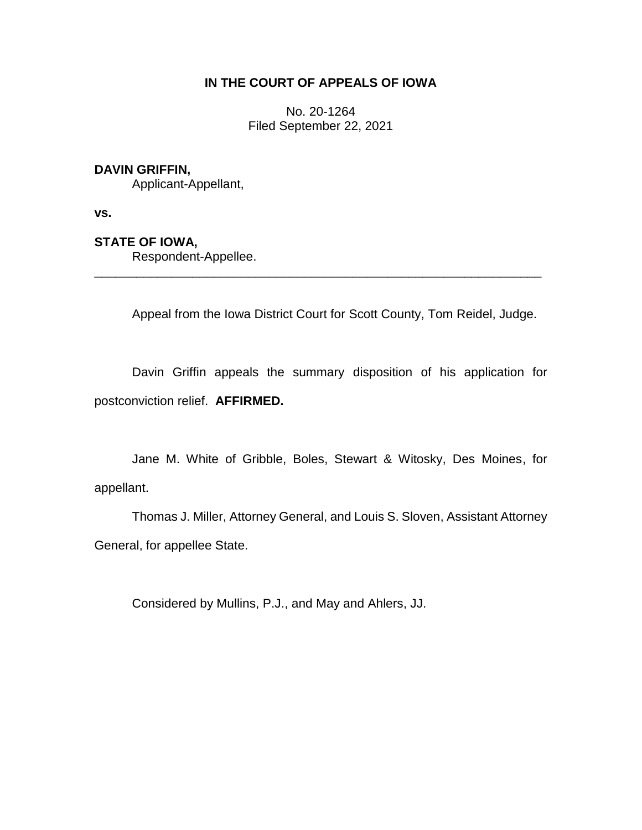## **IN THE COURT OF APPEALS OF IOWA**

No. 20-1264 Filed September 22, 2021

### **DAVIN GRIFFIN,**

Applicant-Appellant,

**vs.**

#### **STATE OF IOWA,**

Respondent-Appellee.

Appeal from the Iowa District Court for Scott County, Tom Reidel, Judge.

\_\_\_\_\_\_\_\_\_\_\_\_\_\_\_\_\_\_\_\_\_\_\_\_\_\_\_\_\_\_\_\_\_\_\_\_\_\_\_\_\_\_\_\_\_\_\_\_\_\_\_\_\_\_\_\_\_\_\_\_\_\_\_\_

Davin Griffin appeals the summary disposition of his application for postconviction relief. **AFFIRMED.**

Jane M. White of Gribble, Boles, Stewart & Witosky, Des Moines, for appellant.

Thomas J. Miller, Attorney General, and Louis S. Sloven, Assistant Attorney General, for appellee State.

Considered by Mullins, P.J., and May and Ahlers, JJ.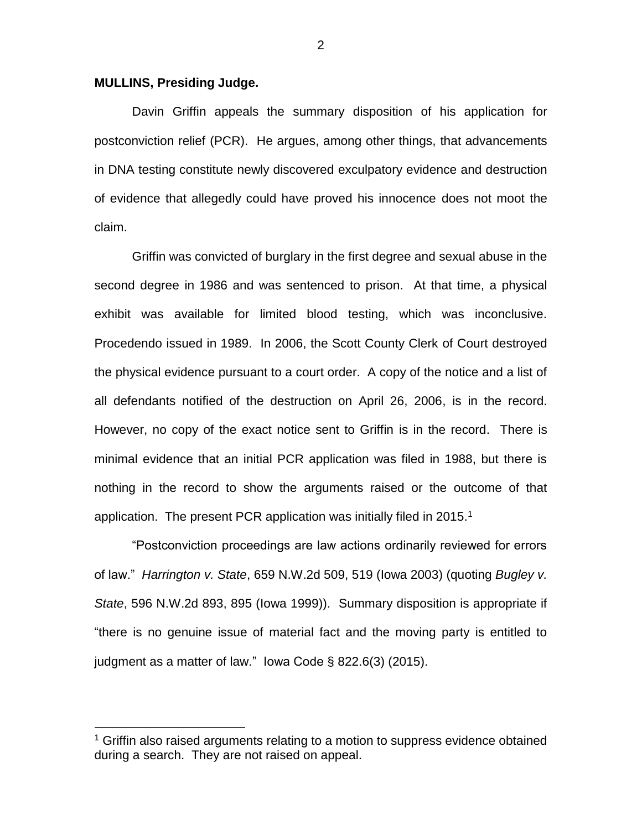#### **MULLINS, Presiding Judge.**

 $\overline{a}$ 

Davin Griffin appeals the summary disposition of his application for postconviction relief (PCR). He argues, among other things, that advancements in DNA testing constitute newly discovered exculpatory evidence and destruction of evidence that allegedly could have proved his innocence does not moot the claim.

Griffin was convicted of burglary in the first degree and sexual abuse in the second degree in 1986 and was sentenced to prison. At that time, a physical exhibit was available for limited blood testing, which was inconclusive. Procedendo issued in 1989. In 2006, the Scott County Clerk of Court destroyed the physical evidence pursuant to a court order. A copy of the notice and a list of all defendants notified of the destruction on April 26, 2006, is in the record. However, no copy of the exact notice sent to Griffin is in the record. There is minimal evidence that an initial PCR application was filed in 1988, but there is nothing in the record to show the arguments raised or the outcome of that application. The present PCR application was initially filed in 2015.<sup>1</sup>

"Postconviction proceedings are law actions ordinarily reviewed for errors of law." *Harrington v. State*, 659 N.W.2d 509, 519 (Iowa 2003) (quoting *Bugley v. State*, 596 N.W.2d 893, 895 (Iowa 1999)). Summary disposition is appropriate if "there is no genuine issue of material fact and the moving party is entitled to judgment as a matter of law." Iowa Code § 822.6(3) (2015).

 $1$  Griffin also raised arguments relating to a motion to suppress evidence obtained during a search. They are not raised on appeal.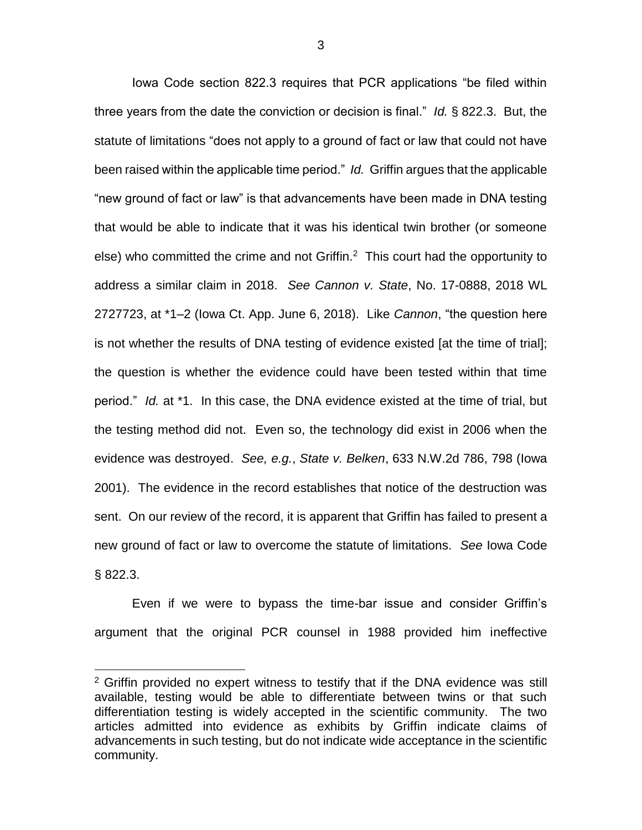Iowa Code section 822.3 requires that PCR applications "be filed within three years from the date the conviction or decision is final." *Id.* § 822.3. But, the statute of limitations "does not apply to a ground of fact or law that could not have been raised within the applicable time period." *Id.* Griffin argues that the applicable "new ground of fact or law" is that advancements have been made in DNA testing that would be able to indicate that it was his identical twin brother (or someone else) who committed the crime and not Griffin.<sup>2</sup> This court had the opportunity to address a similar claim in 2018. *See Cannon v. State*, No. 17-0888, 2018 WL 2727723, at \*1–2 (Iowa Ct. App. June 6, 2018). Like *Cannon*, "the question here is not whether the results of DNA testing of evidence existed [at the time of trial]; the question is whether the evidence could have been tested within that time period." *Id.* at \*1. In this case, the DNA evidence existed at the time of trial, but the testing method did not. Even so, the technology did exist in 2006 when the evidence was destroyed. *See, e.g.*, *State v. Belken*, 633 N.W.2d 786, 798 (Iowa 2001). The evidence in the record establishes that notice of the destruction was sent. On our review of the record, it is apparent that Griffin has failed to present a new ground of fact or law to overcome the statute of limitations. *See* Iowa Code § 822.3.

Even if we were to bypass the time-bar issue and consider Griffin's argument that the original PCR counsel in 1988 provided him ineffective

 $\overline{a}$ 

<sup>&</sup>lt;sup>2</sup> Griffin provided no expert witness to testify that if the DNA evidence was still available, testing would be able to differentiate between twins or that such differentiation testing is widely accepted in the scientific community. The two articles admitted into evidence as exhibits by Griffin indicate claims of advancements in such testing, but do not indicate wide acceptance in the scientific community.